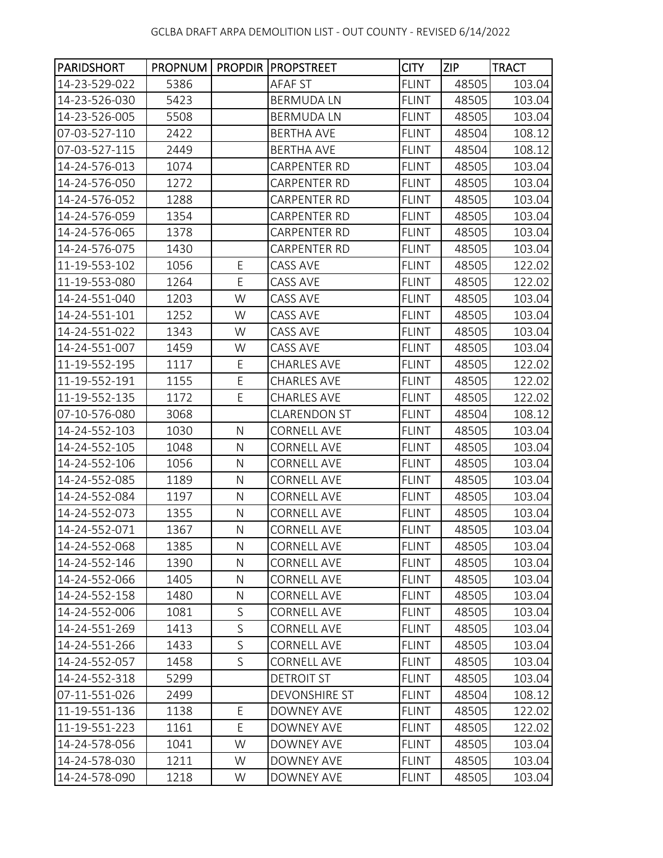| <b>PARIDSHORT</b> |      |              | PROPNUM   PROPDIR   PROPSTREET | <b>CITY</b>  | <b>ZIP</b> | <b>TRACT</b> |
|-------------------|------|--------------|--------------------------------|--------------|------------|--------------|
| 14-23-529-022     | 5386 |              | AFAF ST                        | <b>FLINT</b> | 48505      | 103.04       |
| 14-23-526-030     | 5423 |              | <b>BERMUDALN</b>               | <b>FLINT</b> | 48505      | 103.04       |
| 14-23-526-005     | 5508 |              | <b>BERMUDALN</b>               | <b>FLINT</b> | 48505      | 103.04       |
| 07-03-527-110     | 2422 |              | <b>BERTHA AVE</b>              | <b>FLINT</b> | 48504      | 108.12       |
| 07-03-527-115     | 2449 |              | <b>BERTHA AVE</b>              | <b>FLINT</b> | 48504      | 108.12       |
| 14-24-576-013     | 1074 |              | <b>CARPENTER RD</b>            | <b>FLINT</b> | 48505      | 103.04       |
| 14-24-576-050     | 1272 |              | CARPENTER RD                   | <b>FLINT</b> | 48505      | 103.04       |
| 14-24-576-052     | 1288 |              | <b>CARPENTER RD</b>            | <b>FLINT</b> | 48505      | 103.04       |
| 14-24-576-059     | 1354 |              | CARPENTER RD                   | <b>FLINT</b> | 48505      | 103.04       |
| 14-24-576-065     | 1378 |              | <b>CARPENTER RD</b>            | <b>FLINT</b> | 48505      | 103.04       |
| 14-24-576-075     | 1430 |              | CARPENTER RD                   | <b>FLINT</b> | 48505      | 103.04       |
| 11-19-553-102     | 1056 | E            | CASS AVE                       | <b>FLINT</b> | 48505      | 122.02       |
| 11-19-553-080     | 1264 | E            | CASS AVE                       | <b>FLINT</b> | 48505      | 122.02       |
| 14-24-551-040     | 1203 | W            | CASS AVE                       | <b>FLINT</b> | 48505      | 103.04       |
| 14-24-551-101     | 1252 | W            | CASS AVE                       | <b>FLINT</b> | 48505      | 103.04       |
| 14-24-551-022     | 1343 | W            | CASS AVE                       | <b>FLINT</b> | 48505      | 103.04       |
| 14-24-551-007     | 1459 | W            | CASS AVE                       | <b>FLINT</b> | 48505      | 103.04       |
| 11-19-552-195     | 1117 | E            | <b>CHARLES AVE</b>             | <b>FLINT</b> | 48505      | 122.02       |
| 11-19-552-191     | 1155 | E            | <b>CHARLES AVE</b>             | <b>FLINT</b> | 48505      | 122.02       |
| 11-19-552-135     | 1172 | E            | <b>CHARLES AVE</b>             | <b>FLINT</b> | 48505      | 122.02       |
| 07-10-576-080     | 3068 |              | <b>CLARENDON ST</b>            | <b>FLINT</b> | 48504      | 108.12       |
| 14-24-552-103     | 1030 | $\mathsf{N}$ | <b>CORNELL AVE</b>             | <b>FLINT</b> | 48505      | 103.04       |
| 14-24-552-105     | 1048 | N            | <b>CORNELL AVE</b>             | <b>FLINT</b> | 48505      | 103.04       |
| 14-24-552-106     | 1056 | ${\sf N}$    | <b>CORNELL AVE</b>             | <b>FLINT</b> | 48505      | 103.04       |
| 14-24-552-085     | 1189 | ${\sf N}$    | <b>CORNELL AVE</b>             | <b>FLINT</b> | 48505      | 103.04       |
| 14-24-552-084     | 1197 | N            | <b>CORNELL AVE</b>             | <b>FLINT</b> | 48505      | 103.04       |
| 14-24-552-073     | 1355 | $\mathsf{N}$ | <b>CORNELL AVE</b>             | <b>FLINT</b> | 48505      | 103.04       |
| 14-24-552-071     | 1367 | ${\sf N}$    | <b>CORNELL AVE</b>             | <b>FLINT</b> | 48505      | 103.04       |
| 14-24-552-068     | 1385 | N            | CORNELL AVE                    | FLINT        | 48505      | 103.04       |
| 14-24-552-146     | 1390 | N            | <b>CORNELL AVE</b>             | <b>FLINT</b> | 48505      | 103.04       |
| 14-24-552-066     | 1405 | N            | <b>CORNELL AVE</b>             | <b>FLINT</b> | 48505      | 103.04       |
| 14-24-552-158     | 1480 | ${\sf N}$    | <b>CORNELL AVE</b>             | <b>FLINT</b> | 48505      | 103.04       |
| 14-24-552-006     | 1081 | S            | <b>CORNELL AVE</b>             | <b>FLINT</b> | 48505      | 103.04       |
| 14-24-551-269     | 1413 | S            | <b>CORNELL AVE</b>             | <b>FLINT</b> | 48505      | 103.04       |
| 14-24-551-266     | 1433 | S            | <b>CORNELL AVE</b>             | <b>FLINT</b> | 48505      | 103.04       |
| 14-24-552-057     | 1458 | $\mathsf{S}$ | <b>CORNELL AVE</b>             | <b>FLINT</b> | 48505      | 103.04       |
| 14-24-552-318     | 5299 |              | <b>DETROIT ST</b>              | <b>FLINT</b> | 48505      | 103.04       |
| 07-11-551-026     | 2499 |              | <b>DEVONSHIRE ST</b>           | <b>FLINT</b> | 48504      | 108.12       |
| 11-19-551-136     | 1138 | E            | DOWNEY AVE                     | <b>FLINT</b> | 48505      | 122.02       |
| 11-19-551-223     | 1161 | E            | DOWNEY AVE                     | <b>FLINT</b> | 48505      | 122.02       |
| 14-24-578-056     | 1041 | W            | DOWNEY AVE                     | <b>FLINT</b> | 48505      | 103.04       |
| 14-24-578-030     | 1211 | W            | DOWNEY AVE                     | <b>FLINT</b> | 48505      | 103.04       |
| 14-24-578-090     | 1218 | W            | DOWNEY AVE                     | <b>FLINT</b> | 48505      | 103.04       |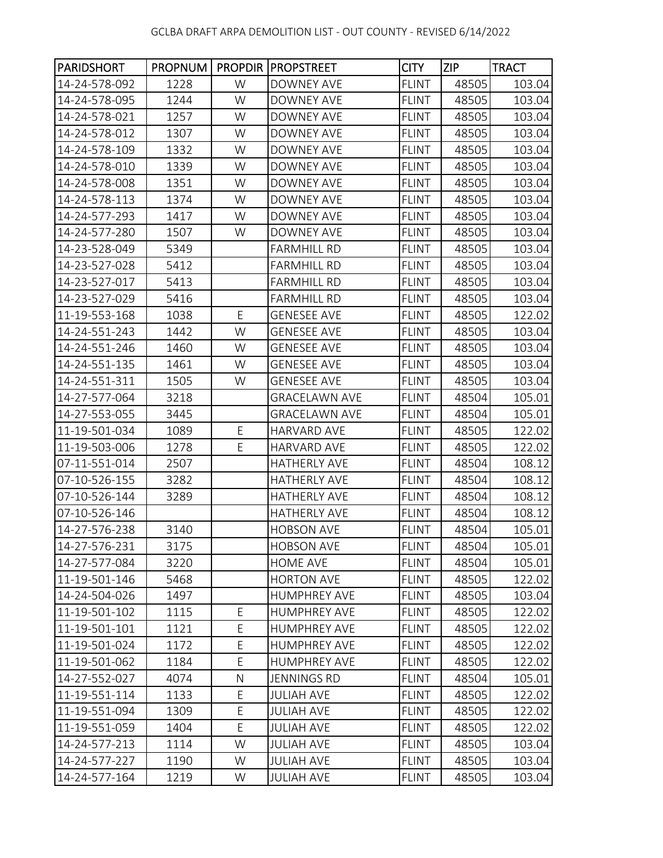| <b>PARIDSHORT</b> | PROPNUM |   | <b>PROPDIR PROPSTREET</b> | <b>CITY</b>  | <b>ZIP</b> | <b>TRACT</b> |
|-------------------|---------|---|---------------------------|--------------|------------|--------------|
| 14-24-578-092     | 1228    | W | DOWNEY AVE                | <b>FLINT</b> | 48505      | 103.04       |
| 14-24-578-095     | 1244    | W | <b>DOWNEY AVE</b>         | <b>FLINT</b> | 48505      | 103.04       |
| 14-24-578-021     | 1257    | W | DOWNEY AVE                | <b>FLINT</b> | 48505      | 103.04       |
| 14-24-578-012     | 1307    | W | <b>DOWNEY AVE</b>         | <b>FLINT</b> | 48505      | 103.04       |
| 14-24-578-109     | 1332    | W | <b>DOWNEY AVE</b>         | <b>FLINT</b> | 48505      | 103.04       |
| 14-24-578-010     | 1339    | W | DOWNEY AVE                | <b>FLINT</b> | 48505      | 103.04       |
| 14-24-578-008     | 1351    | W | <b>DOWNEY AVE</b>         | <b>FLINT</b> | 48505      | 103.04       |
| 14-24-578-113     | 1374    | W | DOWNEY AVE                | <b>FLINT</b> | 48505      | 103.04       |
| 14-24-577-293     | 1417    | W | DOWNEY AVE                | <b>FLINT</b> | 48505      | 103.04       |
| 14-24-577-280     | 1507    | W | DOWNEY AVE                | <b>FLINT</b> | 48505      | 103.04       |
| 14-23-528-049     | 5349    |   | <b>FARMHILL RD</b>        | <b>FLINT</b> | 48505      | 103.04       |
| 14-23-527-028     | 5412    |   | <b>FARMHILL RD</b>        | <b>FLINT</b> | 48505      | 103.04       |
| 14-23-527-017     | 5413    |   | <b>FARMHILL RD</b>        | <b>FLINT</b> | 48505      | 103.04       |
| 14-23-527-029     | 5416    |   | <b>FARMHILL RD</b>        | <b>FLINT</b> | 48505      | 103.04       |
| 11-19-553-168     | 1038    | E | <b>GENESEE AVE</b>        | <b>FLINT</b> | 48505      | 122.02       |
| 14-24-551-243     | 1442    | W | <b>GENESEE AVE</b>        | <b>FLINT</b> | 48505      | 103.04       |
| 14-24-551-246     | 1460    | W | <b>GENESEE AVE</b>        | <b>FLINT</b> | 48505      | 103.04       |
| 14-24-551-135     | 1461    | W | <b>GENESEE AVE</b>        | <b>FLINT</b> | 48505      | 103.04       |
| 14-24-551-311     | 1505    | W | <b>GENESEE AVE</b>        | <b>FLINT</b> | 48505      | 103.04       |
| 14-27-577-064     | 3218    |   | <b>GRACELAWN AVE</b>      | <b>FLINT</b> | 48504      | 105.01       |
| 14-27-553-055     | 3445    |   | <b>GRACELAWN AVE</b>      | <b>FLINT</b> | 48504      | 105.01       |
| 11-19-501-034     | 1089    | E | <b>HARVARD AVE</b>        | <b>FLINT</b> | 48505      | 122.02       |
| 11-19-503-006     | 1278    | E | HARVARD AVE               | <b>FLINT</b> | 48505      | 122.02       |
| 07-11-551-014     | 2507    |   | <b>HATHERLY AVE</b>       | <b>FLINT</b> | 48504      | 108.12       |
| 07-10-526-155     | 3282    |   | <b>HATHERLY AVE</b>       | <b>FLINT</b> | 48504      | 108.12       |
| 07-10-526-144     | 3289    |   | <b>HATHERLY AVE</b>       | <b>FLINT</b> | 48504      | 108.12       |
| 07-10-526-146     |         |   | <b>HATHERLY AVE</b>       | <b>FLINT</b> | 48504      | 108.12       |
| 14-27-576-238     | 3140    |   | <b>HOBSON AVE</b>         | <b>FLINT</b> | 48504      | 105.01       |
| 14-27-576-231     | 3175    |   | HOBSON AVE                | <b>FLINT</b> | 48504      | 105.01       |
| 14-27-577-084     | 3220    |   | <b>HOME AVE</b>           | <b>FLINT</b> | 48504      | 105.01       |
| 11-19-501-146     | 5468    |   | <b>HORTON AVE</b>         | <b>FLINT</b> | 48505      | 122.02       |
| 14-24-504-026     | 1497    |   | <b>HUMPHREY AVE</b>       | <b>FLINT</b> | 48505      | 103.04       |
| 11-19-501-102     | 1115    | E | <b>HUMPHREY AVE</b>       | <b>FLINT</b> | 48505      | 122.02       |
| 11-19-501-101     | 1121    | E | <b>HUMPHREY AVE</b>       | <b>FLINT</b> | 48505      | 122.02       |
| 11-19-501-024     | 1172    | E | <b>HUMPHREY AVE</b>       | <b>FLINT</b> | 48505      | 122.02       |
| 11-19-501-062     | 1184    | E | <b>HUMPHREY AVE</b>       | <b>FLINT</b> | 48505      | 122.02       |
| 14-27-552-027     | 4074    | N | <b>JENNINGS RD</b>        | <b>FLINT</b> | 48504      | 105.01       |
| 11-19-551-114     | 1133    | E | <b>JULIAH AVE</b>         | <b>FLINT</b> | 48505      | 122.02       |
| 11-19-551-094     | 1309    | E | <b>JULIAH AVE</b>         | <b>FLINT</b> | 48505      | 122.02       |
| 11-19-551-059     | 1404    | E | <b>JULIAH AVE</b>         | <b>FLINT</b> | 48505      | 122.02       |
| 14-24-577-213     | 1114    | W | <b>JULIAH AVE</b>         | <b>FLINT</b> | 48505      | 103.04       |
| 14-24-577-227     | 1190    | W | <b>JULIAH AVE</b>         | <b>FLINT</b> | 48505      | 103.04       |
| 14-24-577-164     | 1219    | W | <b>JULIAH AVE</b>         | <b>FLINT</b> | 48505      | 103.04       |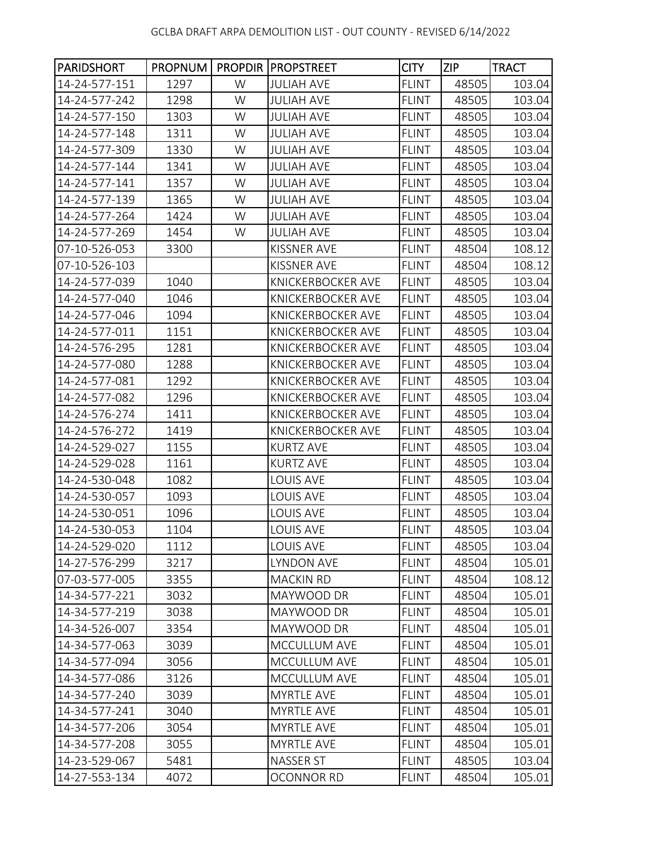| <b>PARIDSHORT</b> |      |   | <b>PROPNUM   PROPDIR   PROPSTREET</b> | <b>CITY</b>  | <b>ZIP</b> | <b>TRACT</b> |
|-------------------|------|---|---------------------------------------|--------------|------------|--------------|
| 14-24-577-151     | 1297 | W | <b>JULIAH AVE</b>                     | <b>FLINT</b> | 48505      | 103.04       |
| 14-24-577-242     | 1298 | W | <b>JULIAH AVE</b>                     | <b>FLINT</b> | 48505      | 103.04       |
| 14-24-577-150     | 1303 | W | <b>JULIAH AVE</b>                     | <b>FLINT</b> | 48505      | 103.04       |
| 14-24-577-148     | 1311 | W | <b>JULIAH AVE</b>                     | <b>FLINT</b> | 48505      | 103.04       |
| 14-24-577-309     | 1330 | W | <b>JULIAH AVE</b>                     | <b>FLINT</b> | 48505      | 103.04       |
| 14-24-577-144     | 1341 | W | <b>JULIAH AVE</b>                     | <b>FLINT</b> | 48505      | 103.04       |
| 14-24-577-141     | 1357 | W | <b>JULIAH AVE</b>                     | <b>FLINT</b> | 48505      | 103.04       |
| 14-24-577-139     | 1365 | W | <b>JULIAH AVE</b>                     | <b>FLINT</b> | 48505      | 103.04       |
| 14-24-577-264     | 1424 | W | <b>JULIAH AVE</b>                     | <b>FLINT</b> | 48505      | 103.04       |
| 14-24-577-269     | 1454 | W | <b>JULIAH AVE</b>                     | <b>FLINT</b> | 48505      | 103.04       |
| 07-10-526-053     | 3300 |   | KISSNER AVE                           | <b>FLINT</b> | 48504      | 108.12       |
| 07-10-526-103     |      |   | KISSNER AVE                           | <b>FLINT</b> | 48504      | 108.12       |
| 14-24-577-039     | 1040 |   | <b>KNICKERBOCKER AVE</b>              | <b>FLINT</b> | 48505      | 103.04       |
| 14-24-577-040     | 1046 |   | <b>KNICKERBOCKER AVE</b>              | <b>FLINT</b> | 48505      | 103.04       |
| 14-24-577-046     | 1094 |   | <b>KNICKERBOCKER AVE</b>              | <b>FLINT</b> | 48505      | 103.04       |
| 14-24-577-011     | 1151 |   | <b>KNICKERBOCKER AVE</b>              | <b>FLINT</b> | 48505      | 103.04       |
| 14-24-576-295     | 1281 |   | <b>KNICKERBOCKER AVE</b>              | <b>FLINT</b> | 48505      | 103.04       |
| 14-24-577-080     | 1288 |   | <b>KNICKERBOCKER AVE</b>              | <b>FLINT</b> | 48505      | 103.04       |
| 14-24-577-081     | 1292 |   | <b>KNICKERBOCKER AVE</b>              | <b>FLINT</b> | 48505      | 103.04       |
| 14-24-577-082     | 1296 |   | <b>KNICKERBOCKER AVE</b>              | <b>FLINT</b> | 48505      | 103.04       |
| 14-24-576-274     | 1411 |   | <b>KNICKERBOCKER AVE</b>              | <b>FLINT</b> | 48505      | 103.04       |
| 14-24-576-272     | 1419 |   | <b>KNICKERBOCKER AVE</b>              | <b>FLINT</b> | 48505      | 103.04       |
| 14-24-529-027     | 1155 |   | <b>KURTZ AVE</b>                      | <b>FLINT</b> | 48505      | 103.04       |
| 14-24-529-028     | 1161 |   | <b>KURTZ AVE</b>                      | <b>FLINT</b> | 48505      | 103.04       |
| 14-24-530-048     | 1082 |   | <b>LOUIS AVE</b>                      | <b>FLINT</b> | 48505      | 103.04       |
| 14-24-530-057     | 1093 |   | <b>LOUIS AVE</b>                      | <b>FLINT</b> | 48505      | 103.04       |
| 14-24-530-051     | 1096 |   | <b>LOUIS AVE</b>                      | <b>FLINT</b> | 48505      | 103.04       |
| 14-24-530-053     | 1104 |   | <b>LOUIS AVE</b>                      | <b>FLINT</b> | 48505      | 103.04       |
| 14-24-529-020     | 1112 |   | LOUIS AVE                             | FLINT        | 48505      | 103.04       |
| 14-27-576-299     | 3217 |   | <b>LYNDON AVE</b>                     | <b>FLINT</b> | 48504      | 105.01       |
| 07-03-577-005     | 3355 |   | MACKIN RD                             | <b>FLINT</b> | 48504      | 108.12       |
| 14-34-577-221     | 3032 |   | MAYWOOD DR                            | <b>FLINT</b> | 48504      | 105.01       |
| 14-34-577-219     | 3038 |   | MAYWOOD DR                            | <b>FLINT</b> | 48504      | 105.01       |
| 14-34-526-007     | 3354 |   | MAYWOOD DR                            | <b>FLINT</b> | 48504      | 105.01       |
| 14-34-577-063     | 3039 |   | MCCULLUM AVE                          | <b>FLINT</b> | 48504      | 105.01       |
| 14-34-577-094     | 3056 |   | MCCULLUM AVE                          | <b>FLINT</b> | 48504      | 105.01       |
| 14-34-577-086     | 3126 |   | MCCULLUM AVE                          | <b>FLINT</b> | 48504      | 105.01       |
| 14-34-577-240     | 3039 |   | <b>MYRTLE AVE</b>                     | <b>FLINT</b> | 48504      | 105.01       |
| 14-34-577-241     | 3040 |   | <b>MYRTLE AVE</b>                     | <b>FLINT</b> | 48504      | 105.01       |
| 14-34-577-206     | 3054 |   | <b>MYRTLE AVE</b>                     | <b>FLINT</b> | 48504      | 105.01       |
| 14-34-577-208     | 3055 |   | <b>MYRTLE AVE</b>                     | <b>FLINT</b> | 48504      | 105.01       |
| 14-23-529-067     | 5481 |   | <b>NASSER ST</b>                      | <b>FLINT</b> | 48505      | 103.04       |
| 14-27-553-134     | 4072 |   | <b>OCONNOR RD</b>                     | <b>FLINT</b> | 48504      | 105.01       |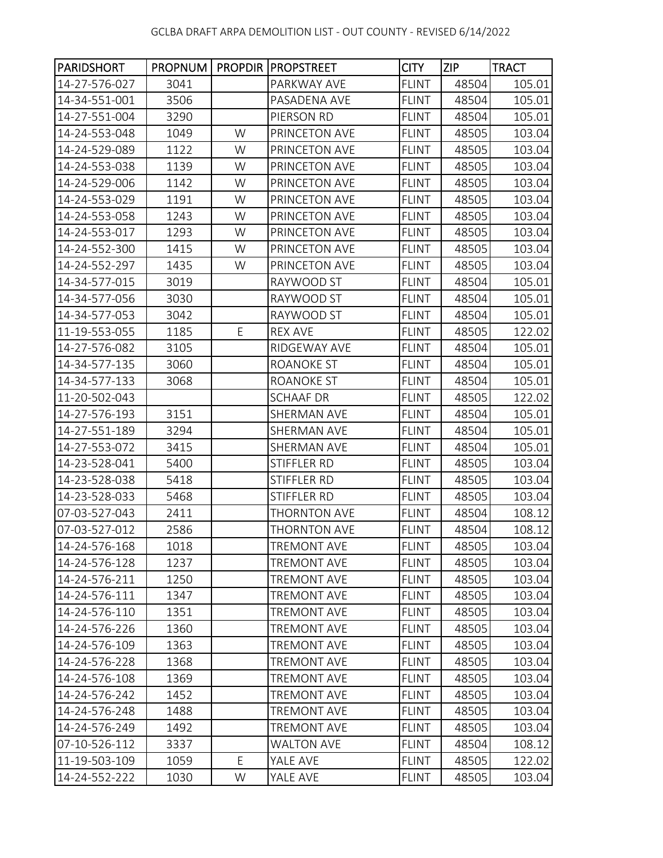| <b>PARIDSHORT</b> |      |   | <b>PROPNUM   PROPDIR   PROPSTREET</b> | <b>CITY</b>  | <b>ZIP</b> | <b>TRACT</b> |
|-------------------|------|---|---------------------------------------|--------------|------------|--------------|
| 14-27-576-027     | 3041 |   | PARKWAY AVE                           | <b>FLINT</b> | 48504      | 105.01       |
| 14-34-551-001     | 3506 |   | PASADENA AVE                          | <b>FLINT</b> | 48504      | 105.01       |
| 14-27-551-004     | 3290 |   | PIERSON RD                            | <b>FLINT</b> | 48504      | 105.01       |
| 14-24-553-048     | 1049 | W | PRINCETON AVE                         | <b>FLINT</b> | 48505      | 103.04       |
| 14-24-529-089     | 1122 | W | PRINCETON AVE                         | <b>FLINT</b> | 48505      | 103.04       |
| 14-24-553-038     | 1139 | W | PRINCETON AVE                         | <b>FLINT</b> | 48505      | 103.04       |
| 14-24-529-006     | 1142 | W | PRINCETON AVE                         | <b>FLINT</b> | 48505      | 103.04       |
| 14-24-553-029     | 1191 | W | PRINCETON AVE                         | <b>FLINT</b> | 48505      | 103.04       |
| 14-24-553-058     | 1243 | W | PRINCETON AVE                         | <b>FLINT</b> | 48505      | 103.04       |
| 14-24-553-017     | 1293 | W | PRINCETON AVE                         | <b>FLINT</b> | 48505      | 103.04       |
| 14-24-552-300     | 1415 | W | PRINCETON AVE                         | <b>FLINT</b> | 48505      | 103.04       |
| 14-24-552-297     | 1435 | W | PRINCETON AVE                         | <b>FLINT</b> | 48505      | 103.04       |
| 14-34-577-015     | 3019 |   | RAYWOOD ST                            | <b>FLINT</b> | 48504      | 105.01       |
| 14-34-577-056     | 3030 |   | RAYWOOD ST                            | <b>FLINT</b> | 48504      | 105.01       |
| 14-34-577-053     | 3042 |   | RAYWOOD ST                            | <b>FLINT</b> | 48504      | 105.01       |
| 11-19-553-055     | 1185 | E | <b>REX AVE</b>                        | <b>FLINT</b> | 48505      | 122.02       |
| 14-27-576-082     | 3105 |   | RIDGEWAY AVE                          | <b>FLINT</b> | 48504      | 105.01       |
| 14-34-577-135     | 3060 |   | <b>ROANOKE ST</b>                     | <b>FLINT</b> | 48504      | 105.01       |
| 14-34-577-133     | 3068 |   | ROANOKE ST                            | <b>FLINT</b> | 48504      | 105.01       |
| 11-20-502-043     |      |   | <b>SCHAAF DR</b>                      | <b>FLINT</b> | 48505      | 122.02       |
| 14-27-576-193     | 3151 |   | SHERMAN AVE                           | <b>FLINT</b> | 48504      | 105.01       |
| 14-27-551-189     | 3294 |   | SHERMAN AVE                           | <b>FLINT</b> | 48504      | 105.01       |
| 14-27-553-072     | 3415 |   | SHERMAN AVE                           | <b>FLINT</b> | 48504      | 105.01       |
| 14-23-528-041     | 5400 |   | STIFFLER RD                           | <b>FLINT</b> | 48505      | 103.04       |
| 14-23-528-038     | 5418 |   | STIFFLER RD                           | <b>FLINT</b> | 48505      | 103.04       |
| 14-23-528-033     | 5468 |   | STIFFLER RD                           | <b>FLINT</b> | 48505      | 103.04       |
| 07-03-527-043     | 2411 |   | <b>THORNTON AVE</b>                   | <b>FLINT</b> | 48504      | 108.12       |
| 07-03-527-012     | 2586 |   | <b>THORNTON AVE</b>                   | <b>FLINT</b> | 48504      | 108.12       |
| 14-24-576-168     | 1018 |   | TREMONT AVE                           | FLINT        | 48505      | 103.04       |
| 14-24-576-128     | 1237 |   | <b>TREMONT AVE</b>                    | <b>FLINT</b> | 48505      | 103.04       |
| 14-24-576-211     | 1250 |   | TREMONT AVE                           | <b>FLINT</b> | 48505      | 103.04       |
| 14-24-576-111     | 1347 |   | <b>TREMONT AVE</b>                    | <b>FLINT</b> | 48505      | 103.04       |
| 14-24-576-110     | 1351 |   | <b>TREMONT AVE</b>                    | <b>FLINT</b> | 48505      | 103.04       |
| 14-24-576-226     | 1360 |   | <b>TREMONT AVE</b>                    | <b>FLINT</b> | 48505      | 103.04       |
| 14-24-576-109     | 1363 |   | <b>TREMONT AVE</b>                    | <b>FLINT</b> | 48505      | 103.04       |
| 14-24-576-228     | 1368 |   | <b>TREMONT AVE</b>                    | <b>FLINT</b> | 48505      | 103.04       |
| 14-24-576-108     | 1369 |   | <b>TREMONT AVE</b>                    | <b>FLINT</b> | 48505      | 103.04       |
| 14-24-576-242     | 1452 |   | <b>TREMONT AVE</b>                    | <b>FLINT</b> | 48505      | 103.04       |
| 14-24-576-248     | 1488 |   | <b>TREMONT AVE</b>                    | <b>FLINT</b> | 48505      | 103.04       |
| 14-24-576-249     | 1492 |   | <b>TREMONT AVE</b>                    | <b>FLINT</b> | 48505      | 103.04       |
| 07-10-526-112     | 3337 |   | <b>WALTON AVE</b>                     | <b>FLINT</b> | 48504      | 108.12       |
| 11-19-503-109     | 1059 | E | YALE AVE                              | <b>FLINT</b> | 48505      | 122.02       |
| 14-24-552-222     | 1030 | W | YALE AVE                              | <b>FLINT</b> | 48505      | 103.04       |